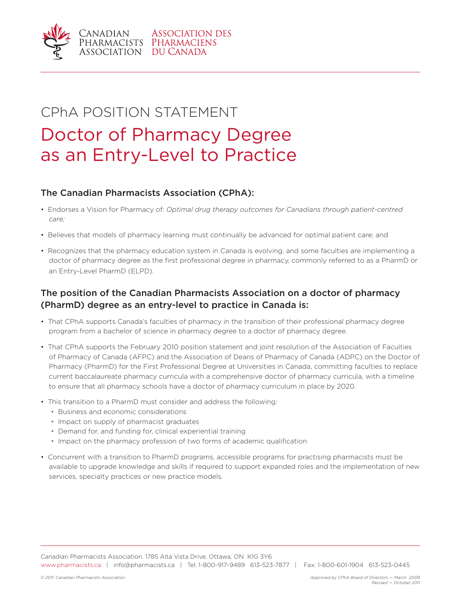

# CPhA POSITION STATEMENT Doctor of Pharmacy Degree as an Entry-Level to Practice

### The Canadian Pharmacists Association (CPhA):

- Endorses a Vision for Pharmacy of: *Optimal drug therapy outcomes for Canadians through patient-centred care;*
- Believes that models of pharmacy learning must continually be advanced for optimal patient care; and
- Recognizes that the pharmacy education system in Canada is evolving, and some faculties are implementing a doctor of pharmacy degree as the first professional degree in pharmacy, commonly referred to as a PharmD or an Entry-Level PharmD (ELPD).

## The position of the Canadian Pharmacists Association on a doctor of pharmacy (PharmD) degree as an entry-level to practice in Canada is:

- That CPhA supports Canada's faculties of pharmacy in the transition of their professional pharmacy degree program from a bachelor of science in pharmacy degree to a doctor of pharmacy degree.
- That CPhA supports the February 2010 position statement and joint resolution of the Association of Faculties of Pharmacy of Canada (AFPC) and the Association of Deans of Pharmacy of Canada (ADPC) on the Doctor of Pharmacy (PharmD) for the First Professional Degree at Universities in Canada, committing faculties to replace current baccalaureate pharmacy curricula with a comprehensive doctor of pharmacy curricula, with a timeline to ensure that all pharmacy schools have a doctor of pharmacy curriculum in place by 2020.
- This transition to a PharmD must consider and address the following:
	- Business and economic considerations
	- Impact on supply of pharmacist graduates
	- Demand for, and funding for, clinical experiential training
	- Impact on the pharmacy profession of two forms of academic qualification
- Concurrent with a transition to PharmD programs, accessible programs for practising pharmacists must be available to upgrade knowledge and skills if required to support expanded roles and the implementation of new services, specialty practices or new practice models.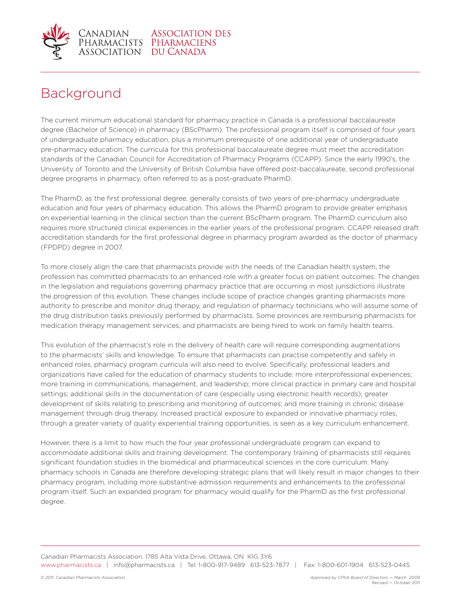

# Background

The current minimum educational standard for pharmacy practice in Canada is a professional baccalaureate degree (Bachelor of Science) in pharmacy (BScPharm). The professional program itself is comprised of four years of undergraduate pharmacy education, plus a minimum prerequisite of one additional year of undergraduate pre-pharmacy education. The curricula for this professional baccalaureate degree must meet the accreditation standards of the Canadian Council for Accreditation of Pharmacy Programs (CCAPP). Since the early 1990's, the University of Toronto and the University of British Columbia have offered post-baccalaureate, second professional degree programs in pharmacy, often referred to as a post-graduate PharmD.

The PharmD, as the first professional degree, generally consists of two years of pre-pharmacy undergraduate education and four years of pharmacy education. This allows the PharmD program to provide greater emphasis on experiential learning in the clinical section than the current BScPharm program. The PharmD curriculum also requires more structured clinical experiences in the earlier years of the professional program. CCAPP released draft accreditation standards for the first professional degree in pharmacy program awarded as the doctor of pharmacy (FPDPD) degree in 2007.

To more closely align the care that pharmacists provide with the needs of the Canadian health system, the profession has committed pharmacists to an enhanced role with a greater focus on patient outcomes. The changes in the legislation and regulations governing pharmacy practice that are occurring in most jurisdictions illustrate the progression of this evolution. These changes include scope of practice changes granting pharmacists more authority to prescribe and monitor drug therapy, and regulation of pharmacy technicians who will assume some of the drug distribution tasks previously performed by pharmacists. Some provinces are reimbursing pharmacists for medication therapy management services, and pharmacists are being hired to work on family health teams.

This evolution of the pharmacist's role in the delivery of health care will require corresponding augmentations to the pharmacists' skills and knowledge. To ensure that pharmacists can practise competently and safely in enhanced roles, pharmacy program curricula will also need to evolve. Specifically, professional leaders and organizations have called for the education of pharmacy students to include: more interprofessional experiences; more training in communications, management, and leadership; more clinical practice in primary care and hospital settings; additional skills in the documentation of care (especially using electronic health records); greater development of skills relating to prescribing and monitoring of outcomes; and more training in chronic disease management through drug therapy. Increased practical exposure to expanded or innovative pharmacy roles, through a greater variety of quality experiential training opportunities, is seen as a key curriculum enhancement.

However, there is a limit to how much the four year professional undergraduate program can expand to accommodate additional skills and training development. The contemporary training of pharmacists still requires significant foundation studies in the biomedical and pharmaceutical sciences in the core curriculum. Many pharmacy schools in Canada are therefore developing strategic plans that will likely result in major changes to their pharmacy program, including more substantive admission requirements and enhancements to the professional program itself. Such an expanded program for pharmacy would qualify for the PharmD as the first professional degree.

Canadian Pharmacists Association. 1785 Alta Vista Drive, Ottawa, ON K1G 3Y6 www.pharmacists.ca | info@pharmacists.ca | Tel: 1-800-917-9489 613-523-7877 | Fax: 1-800-601-1904 613-523-0445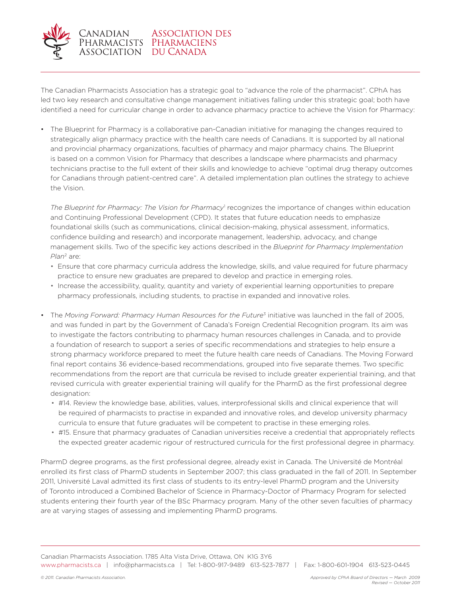

The Canadian Pharmacists Association has a strategic goal to "advance the role of the pharmacist". CPhA has led two key research and consultative change management initiatives falling under this strategic goal; both have identified a need for curricular change in order to advance pharmacy practice to achieve the Vision for Pharmacy:

• The Blueprint for Pharmacy is a collaborative pan-Canadian initiative for managing the changes required to strategically align pharmacy practice with the health care needs of Canadians. It is supported by all national and provincial pharmacy organizations, faculties of pharmacy and major pharmacy chains. The Blueprint is based on a common Vision for Pharmacy that describes a landscape where pharmacists and pharmacy technicians practise to the full extent of their skills and knowledge to achieve "optimal drug therapy outcomes for Canadians through patient-centred care". A detailed implementation plan outlines the strategy to achieve the Vision.

The Blueprint for Pharmacy: The Vision for Pharmacy<sup>1</sup> recognizes the importance of changes within education and Continuing Professional Development (CPD). It states that future education needs to emphasize foundational skills (such as communications, clinical decision-making, physical assessment, informatics, confidence building and research) and incorporate management, leadership, advocacy, and change management skills. Two of the specific key actions described in the *Blueprint for Pharmacy Implementation Plan*2 are:

- Ensure that core pharmacy curricula address the knowledge, skills, and value required for future pharmacy practice to ensure new graduates are prepared to develop and practice in emerging roles.
- Increase the accessibility, quality, quantity and variety of experiential learning opportunities to prepare pharmacy professionals, including students, to practise in expanded and innovative roles.
- The *Moving Forward: Pharmacy Human Resources for the Future*3 initiative was launched in the fall of 2005, and was funded in part by the Government of Canada's Foreign Credential Recognition program. Its aim was to investigate the factors contributing to pharmacy human resources challenges in Canada, and to provide a foundation of research to support a series of specific recommendations and strategies to help ensure a strong pharmacy workforce prepared to meet the future health care needs of Canadians. The Moving Forward final report contains 36 evidence-based recommendations, grouped into five separate themes. Two specific recommendations from the report are that curricula be revised to include greater experiential training, and that revised curricula with greater experiential training will qualify for the PharmD as the first professional degree designation:
	- #14. Review the knowledge base, abilities, values, interprofessional skills and clinical experience that will be required of pharmacists to practise in expanded and innovative roles, and develop university pharmacy curricula to ensure that future graduates will be competent to practise in these emerging roles.
	- #15. Ensure that pharmacy graduates of Canadian universities receive a credential that appropriately reflects the expected greater academic rigour of restructured curricula for the first professional degree in pharmacy.

PharmD degree programs, as the first professional degree, already exist in Canada. The Université de Montréal enrolled its first class of PharmD students in September 2007; this class graduated in the fall of 2011. In September 2011, Université Laval admitted its first class of students to its entry-level PharmD program and the University of Toronto introduced a Combined Bachelor of Science in Pharmacy-Doctor of Pharmacy Program for selected students entering their fourth year of the BSc Pharmacy program. Many of the other seven faculties of pharmacy are at varying stages of assessing and implementing PharmD programs.

Canadian Pharmacists Association. 1785 Alta Vista Drive, Ottawa, ON K1G 3Y6 www.pharmacists.ca | info@pharmacists.ca | Tel: 1-800-917-9489 613-523-7877 | Fax: 1-800-601-1904 613-523-0445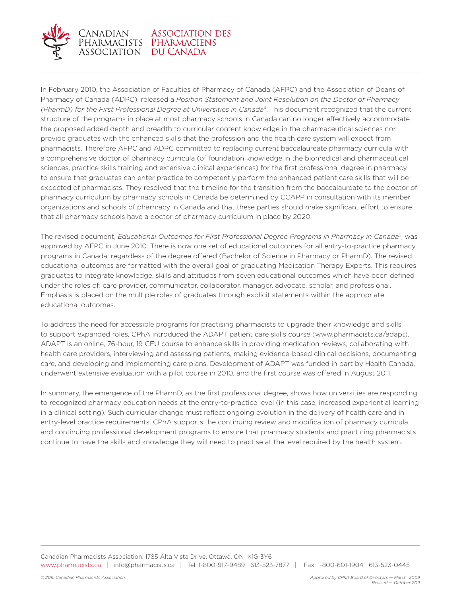

### Canadian Association I<br>Pharmacists Pharmaciens **ASSOCIATION DES** ASSOCIATION DU CANADA

In February 2010, the Association of Faculties of Pharmacy of Canada (AFPC) and the Association of Deans of Pharmacy of Canada (ADPC), released a *Position Statement and Joint Resolution on the Doctor of Pharmacy (PharmD) for the First Professional Degree at Universities in Canada*4. This document recognized that the current structure of the programs in place at most pharmacy schools in Canada can no longer effectively accommodate the proposed added depth and breadth to curricular content knowledge in the pharmaceutical sciences nor provide graduates with the enhanced skills that the profession and the health care system will expect from pharmacists. Therefore AFPC and ADPC committed to replacing current baccalaureate pharmacy curricula with a comprehensive doctor of pharmacy curricula (of foundation knowledge in the biomedical and pharmaceutical sciences, practice skills training and extensive clinical experiences) for the first professional degree in pharmacy to ensure that graduates can enter practice to competently perform the enhanced patient care skills that will be expected of pharmacists. They resolved that the timeline for the transition from the baccalaureate to the doctor of pharmacy curriculum by pharmacy schools in Canada be determined by CCAPP in consultation with its member organizations and schools of pharmacy in Canada and that these parties should make significant effort to ensure that all pharmacy schools have a doctor of pharmacy curriculum in place by 2020.

The revised document, *Educational Outcomes for First Professional Degree Programs in Pharmacy in Canada*5, was approved by AFPC in June 2010. There is now one set of educational outcomes for all entry-to-practice pharmacy programs in Canada, regardless of the degree offered (Bachelor of Science in Pharmacy or PharmD). The revised educational outcomes are formatted with the overall goal of graduating Medication Therapy Experts. This requires graduates to integrate knowledge, skills and attitudes from seven educational outcomes which have been defined under the roles of: care provider, communicator, collaborator, manager, advocate, scholar, and professional. Emphasis is placed on the multiple roles of graduates through explicit statements within the appropriate educational outcomes.

To address the need for accessible programs for practising pharmacists to upgrade their knowledge and skills to support expanded roles, CPhA introduced the ADAPT patient care skills course (www.pharmacists.ca/adapt). ADAPT is an online, 76-hour, 19 CEU course to enhance skills in providing medication reviews, collaborating with health care providers, interviewing and assessing patients, making evidence-based clinical decisions, documenting care, and developing and implementing care plans. Development of ADAPT was funded in part by Health Canada, underwent extensive evaluation with a pilot course in 2010, and the first course was offered in August 2011.

In summary, the emergence of the PharmD, as the first professional degree, shows how universities are responding to recognized pharmacy education needs at the entry-to-practice level (in this case, increased experiential learning in a clinical setting). Such curricular change must reflect ongoing evolution in the delivery of health care and in entry-level practice requirements. CPhA supports the continuing review and modification of pharmacy curricula and continuing professional development programs to ensure that pharmacy students and practicing pharmacists continue to have the skills and knowledge they will need to practise at the level required by the health system.

Canadian Pharmacists Association. 1785 Alta Vista Drive, Ottawa, ON K1G 3Y6 www.pharmacists.ca | info@pharmacists.ca | Tel: 1-800-917-9489 613-523-7877 | Fax: 1-800-601-1904 613-523-0445